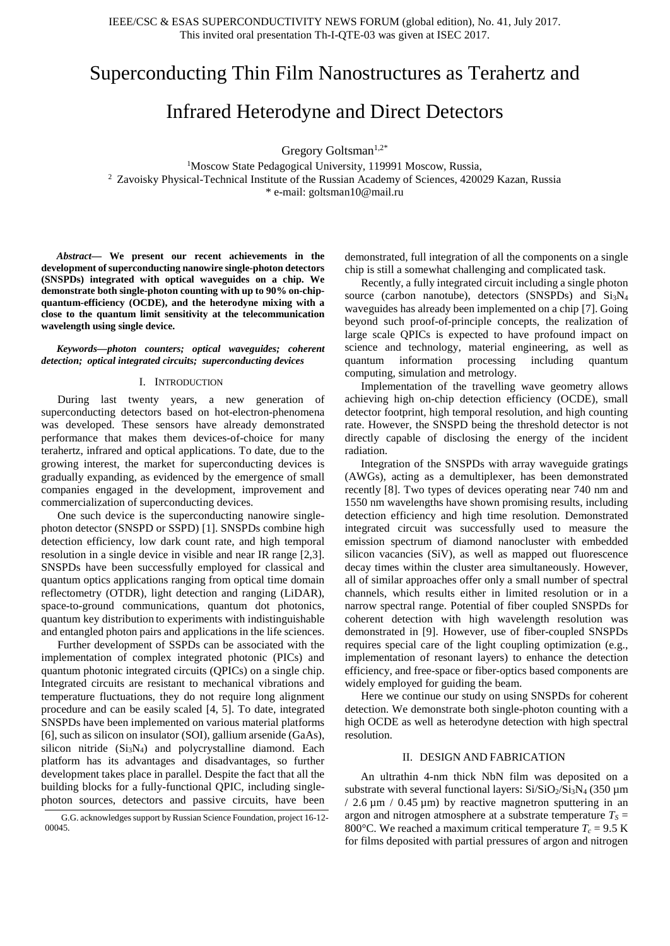# Superconducting Thin Film Nanostructures as Terahertz and

## Infrared Heterodyne and Direct Detectors

Gregory Goltsman<sup>1,2\*</sup>

<sup>1</sup>Moscow State Pedagogical University, 119991 Moscow, Russia, <sup>2</sup> Zavoisky Physical-Technical Institute of the Russian Academy of Sciences, 420029 Kazan, Russia \* e-mail: goltsman10@mail.ru

*Abstract***— We present our recent achievements in the development of superconducting nanowire single-photon detectors (SNSPDs) integrated with optical waveguides on a chip. We demonstrate both single-photon counting with up to 90% on-chipquantum-efficiency (OCDE), and the heterodyne mixing with a close to the quantum limit sensitivity at the telecommunication wavelength using single device.** 

*Keywords—photon counters; optical waveguides; coherent detection; optical integrated circuits; superconducting devices*

### I. INTRODUCTION

During last twenty years, a new generation of superconducting detectors based on hot-electron-phenomena was developed. These sensors have already demonstrated performance that makes them devices-of-choice for many terahertz, infrared and optical applications. To date, due to the growing interest, the market for superconducting devices is gradually expanding, as evidenced by the emergence of small companies engaged in the development, improvement and commercialization of superconducting devices.

One such device is the superconducting nanowire singlephoton detector (SNSPD or SSPD) [1]. SNSPDs combine high detection efficiency, low dark count rate, and high temporal resolution in a single device in visible and near IR range [2,3]. SNSPDs have been successfully employed for classical and quantum optics applications ranging from optical time domain reflectometry (OTDR), light detection and ranging (LiDAR), space-to-ground communications, quantum dot photonics, quantum key distribution to experiments with indistinguishable and entangled photon pairs and applications in the life sciences.

Further development of SSPDs can be associated with the implementation of complex integrated photonic (PICs) and quantum photonic integrated circuits (QPICs) on a single chip. Integrated circuits are resistant to mechanical vibrations and temperature fluctuations, they do not require long alignment procedure and can be easily scaled [4, 5]. To date, integrated SNSPDs have been implemented on various material platforms [6], such as silicon on insulator (SOI), gallium arsenide (GaAs), silicon nitride (Si<sub>3</sub>N<sub>4</sub>) and polycrystalline diamond. Each platform has its advantages and disadvantages, so further development takes place in parallel. Despite the fact that all the building blocks for a fully-functional QPIC, including singlephoton sources, detectors and passive circuits, have been demonstrated, full integration of all the components on a single chip is still a somewhat challenging and complicated task.

Recently, a fully integrated circuit including a single photon source (carbon nanotube), detectors (SNSPDs) and  $Si<sub>3</sub>N<sub>4</sub>$ waveguides has already been implemented on a chip [7]. Going beyond such proof-of-principle concepts, the realization of large scale QPICs is expected to have profound impact on science and technology, material engineering, as well as quantum information processing including quantum computing, simulation and metrology.

Implementation of the travelling wave geometry allows achieving high on-chip detection efficiency (OCDE), small detector footprint, high temporal resolution, and high counting rate. However, the SNSPD being the threshold detector is not directly capable of disclosing the energy of the incident radiation.

Integration of the SNSPDs with array waveguide gratings (AWGs), acting as a demultiplexer, has been demonstrated recently [8]. Two types of devices operating near 740 nm and 1550 nm wavelengths have shown promising results, including detection efficiency and high time resolution. Demonstrated integrated circuit was successfully used to measure the emission spectrum of diamond nanocluster with embedded silicon vacancies (SiV), as well as mapped out fluorescence decay times within the cluster area simultaneously. However, all of similar approaches offer only a small number of spectral channels, which results either in limited resolution or in a narrow spectral range. Potential of fiber coupled SNSPDs for coherent detection with high wavelength resolution was demonstrated in [9]. However, use of fiber-coupled SNSPDs requires special care of the light coupling optimization (e.g., implementation of resonant layers) to enhance the detection efficiency, and free-space or fiber-optics based components are widely employed for guiding the beam.

Here we continue our study on using SNSPDs for coherent detection. We demonstrate both single-photon counting with a high OCDE as well as heterodyne detection with high spectral resolution.

## II. DESIGN AND FABRICATION

An ultrathin 4-nm thick NbN film was deposited on a substrate with several functional layers:  $Si/SiO<sub>2</sub>/Si<sub>3</sub>N<sub>4</sub>$  (350 µm  $/ 2.6 \,\mu$ m  $/ 0.45 \,\mu$ m) by reactive magnetron sputtering in an argon and nitrogen atmosphere at a substrate temperature  $T_s =$ 800 $^{\circ}$ C. We reached a maximum critical temperature  $T_c = 9.5$  K for films deposited with partial pressures of argon and nitrogen

G.G. acknowledges support by Russian Science Foundation, project 16-12- 00045.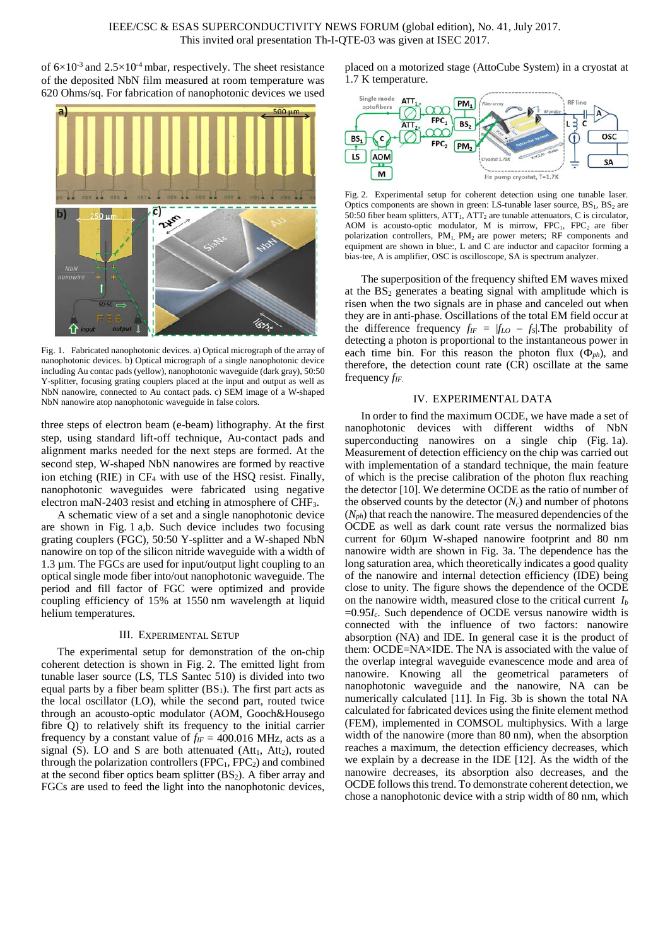of  $6\times10^{-3}$  and  $2.5\times10^{-4}$  mbar, respectively. The sheet resistance of the deposited NbN film measured at room temperature was 620 Ohms/sq. For fabrication of nanophotonic devices we used



Fig. 1. Fabricated nanophotonic devices. a) Optical micrograph of the array of nanophotonic devices. b) Optical micrograph of a single nanophotonic device including Au contac pads (yellow), nanophotonic waveguide (dark gray), 50:50 Y-splitter, focusing grating couplers placed at the input and output as well as NbN nanowire, connected to Au contact pads. c) SEM image of a W-shaped NbN nanowire atop nanophotonic waveguide in false colors.

three steps of electron beam (e-beam) lithography. At the first step, using standard lift-off technique, Au-contact pads and alignment marks needed for the next steps are formed. At the second step, W-shaped NbN nanowires are formed by reactive ion etching (RIE) in CF4 with use of the HSQ resist. Finally, nanophotonic waveguides were fabricated using negative electron maN-2403 resist and etching in atmosphere of CHF3.

A schematic view of a set and a single nanophotonic device are shown in Fig. 1 a,b. Such device includes two focusing grating couplers (FGC), 50:50 Y-splitter and a W-shaped NbN nanowire on top of the silicon nitride waveguide with a width of 1.3 µm. The FGCs are used for input/output light coupling to an optical single mode fiber into/out nanophotonic waveguide. The period and fill factor of FGC were optimized and provide coupling efficiency of 15% at 1550 nm wavelength at liquid helium temperatures.

#### III. EXPERIMENTAL SETUP

The experimental setup for demonstration of the on-chip coherent detection is shown in Fig. 2. The emitted light from tunable laser source (LS, TLS Santec 510) is divided into two equal parts by a fiber beam splitter  $(BS_1)$ . The first part acts as the local oscillator (LO), while the second part, routed twice through an acousto-optic modulator (AOM, Gooch&Housego fibre Q) to relatively shift its frequency to the initial carrier frequency by a constant value of  $f_{IF} = 400.016$  MHz, acts as a signal (S). LO and S are both attenuated ( $Att_1$ ,  $Att_2$ ), routed through the polarization controllers  $(FPC<sub>1</sub>, FPC<sub>2</sub>)$  and combined at the second fiber optics beam splitter  $(BS_2)$ . A fiber array and FGCs are used to feed the light into the nanophotonic devices, placed on a motorized stage (AttoCube System) in a cryostat at 1.7 K temperature.



Fig. 2. Experimental setup for coherent detection using one tunable laser. Optics components are shown in green: LS-tunable laser source,  $BS_1$ ,  $BS_2$  are 50:50 fiber beam splitters,  $ATT<sub>1</sub>$ ,  $ATT<sub>2</sub>$  are tunable attenuators, C is circulator, AOM is acousto-optic modulator, M is mirrow,  $FPC<sub>1</sub>$ ,  $FPC<sub>2</sub>$  are fiber polarization controllers, PM<sub>1</sub>, PM<sub>2</sub> are power meters; RF components and equipment are shown in blue:, L and C are inductor and capacitor forming a bias-tee, A is amplifier, OSC is oscilloscope, SA is spectrum analyzer.

The superposition of the frequency shifted EM waves mixed at the  $BS_2$  generates a beating signal with amplitude which is risen when the two signals are in phase and canceled out when they are in anti-phase. Oscillations of the total EM field occur at the difference frequency  $f_{IF} = |f_{LO} - f_S|$ . The probability of detecting a photon is proportional to the instantaneous power in each time bin. For this reason the photon flux  $(\Phi_{ph})$ , and therefore, the detection count rate (CR) oscillate at the same frequency *fIF.* 

## IV. EXPERIMENTAL DATA

In order to find the maximum OCDE, we have made a set of nanophotonic devices with different widths of NbN superconducting nanowires on a single chip (Fig. 1a). Measurement of detection efficiency on the chip was carried out with implementation of a standard technique, the main feature of which is the precise calibration of the photon flux reaching the detector [10]. We determine OCDE as the ratio of number of the observed counts by the detector  $(N_c)$  and number of photons  $(N_{ph})$  that reach the nanowire. The measured dependencies of the OCDE as well as dark count rate versus the normalized bias current for 60µm W-shaped nanowire footprint and 80 nm nanowire width are shown in Fig. 3a. The dependence has the long saturation area, which theoretically indicates a good quality of the nanowire and internal detection efficiency (IDE) being close to unity. The figure shows the dependence of the OCDE on the nanowire width, measured close to the critical current *Ib* =0.95*Ic*. Such dependence of OCDE versus nanowire width is connected with the influence of two factors: nanowire absorption (NA) and IDE. In general case it is the product of them: OCDE=NA×IDE. The NA is associated with the value of the overlap integral waveguide evanescence mode and area of nanowire. Knowing all the geometrical parameters of nanophotonic waveguide and the nanowire, NA can be numerically calculated [11]. In Fig. 3b is shown the total NA calculated for fabricated devices using the finite element method (FEM), implemented in COMSOL multiphysics. With a large width of the nanowire (more than 80 nm), when the absorption reaches a maximum, the detection efficiency decreases, which we explain by a decrease in the IDE [12]. As the width of the nanowire decreases, its absorption also decreases, and the OCDE follows this trend. To demonstrate coherent detection, we chose a nanophotonic device with a strip width of 80 nm, which